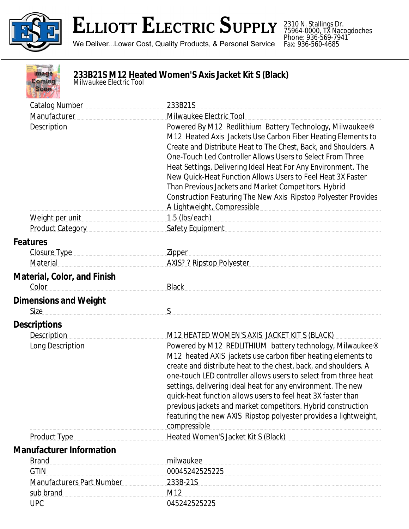

## **ELLIOTT ELECTRIC SUPPLY**

We Deliver...Lower Cost, Quality Products, & Personal Service

2310 N. Stallings Dr. 75964-0000, TX Nacogdoches Phone: 936-569-7941 Fax: 936-560-4685



## **233B21S M12 Heated Women'S Axis Jacket Kit S (Black)** *Milwaukee Electric Tool*

| <b>Catalog Number</b>                                                                                                                                                                                                               | 233B21S                                                                                                                                                                                                                                                                                                                                                                                                                                                                                                                                            |
|-------------------------------------------------------------------------------------------------------------------------------------------------------------------------------------------------------------------------------------|----------------------------------------------------------------------------------------------------------------------------------------------------------------------------------------------------------------------------------------------------------------------------------------------------------------------------------------------------------------------------------------------------------------------------------------------------------------------------------------------------------------------------------------------------|
| Manufacturer                                                                                                                                                                                                                        | Milwaukee Electric Tool                                                                                                                                                                                                                                                                                                                                                                                                                                                                                                                            |
| Description                                                                                                                                                                                                                         | Powered By M12 Redlithium Battery Technology, Milwaukee®<br>M12 Heated Axis Jackets Use Carbon Fiber Heating Elements to<br>Create and Distribute Heat to The Chest, Back, and Shoulders. A<br>One-Touch Led Controller Allows Users to Select From Three<br>Heat Settings, Delivering Ideal Heat For Any Environment. The<br>New Quick-Heat Function Allows Users to Feel Heat 3X Faster<br>Than Previous Jackets and Market Competitors. Hybrid<br>Construction Featuring The New Axis Ripstop Polyester Provides<br>A Lightweight, Compressible |
| Weight per unit                                                                                                                                                                                                                     | $1.5$ (lbs/each)                                                                                                                                                                                                                                                                                                                                                                                                                                                                                                                                   |
| <b>Product Category</b>                                                                                                                                                                                                             | Safety Equipment                                                                                                                                                                                                                                                                                                                                                                                                                                                                                                                                   |
| <b>Features</b>                                                                                                                                                                                                                     |                                                                                                                                                                                                                                                                                                                                                                                                                                                                                                                                                    |
| Closure Type <b>Example 20</b> Separate Separate Separate Separate Separate Separate Separate Separate Separate Separate Separate Separate Separate Separate Separate Separate Separate Separate Separate Separate Separate Separat | <b>Zipper</b>                                                                                                                                                                                                                                                                                                                                                                                                                                                                                                                                      |
| Material                                                                                                                                                                                                                            | AXIS? ? Ripstop Polyester                                                                                                                                                                                                                                                                                                                                                                                                                                                                                                                          |
| <b>Material, Color, and Finish</b>                                                                                                                                                                                                  |                                                                                                                                                                                                                                                                                                                                                                                                                                                                                                                                                    |
| Color                                                                                                                                                                                                                               | <b>Black</b>                                                                                                                                                                                                                                                                                                                                                                                                                                                                                                                                       |
|                                                                                                                                                                                                                                     |                                                                                                                                                                                                                                                                                                                                                                                                                                                                                                                                                    |
| <b>Dimensions and Weight</b><br>Size                                                                                                                                                                                                | S                                                                                                                                                                                                                                                                                                                                                                                                                                                                                                                                                  |
| <b>Descriptions</b>                                                                                                                                                                                                                 |                                                                                                                                                                                                                                                                                                                                                                                                                                                                                                                                                    |
| Description                                                                                                                                                                                                                         | M12 HEATED WOMEN'S AXIS JACKET KIT S (BLACK)                                                                                                                                                                                                                                                                                                                                                                                                                                                                                                       |
| Long Description                                                                                                                                                                                                                    | Powered by M12 REDLITHIUM battery technology, Milwaukee®<br>M12 heated AXIS jackets use carbon fiber heating elements to<br>create and distribute heat to the chest, back, and shoulders. A<br>one-touch LED controller allows users to select from three heat<br>settings, delivering ideal heat for any environment. The new<br>quick-heat function allows users to feel heat 3X faster than<br>previous jackets and market competitors. Hybrid construction<br>featuring the new AXIS Ripstop polyester provides a lightweight,<br>compressible |
| Product Type                                                                                                                                                                                                                        | Heated Women'S Jacket Kit S (Black)                                                                                                                                                                                                                                                                                                                                                                                                                                                                                                                |
| <b>Manufacturer Information</b>                                                                                                                                                                                                     |                                                                                                                                                                                                                                                                                                                                                                                                                                                                                                                                                    |
| <b>Brand</b>                                                                                                                                                                                                                        | milwaukee                                                                                                                                                                                                                                                                                                                                                                                                                                                                                                                                          |
| <b>GTIN</b>                                                                                                                                                                                                                         | 00045242525225                                                                                                                                                                                                                                                                                                                                                                                                                                                                                                                                     |
| <b>Manufacturers Part Number</b>                                                                                                                                                                                                    | 233B-21S                                                                                                                                                                                                                                                                                                                                                                                                                                                                                                                                           |
| sub brand                                                                                                                                                                                                                           | M12                                                                                                                                                                                                                                                                                                                                                                                                                                                                                                                                                |
| <b>UPC</b>                                                                                                                                                                                                                          | 045242525225                                                                                                                                                                                                                                                                                                                                                                                                                                                                                                                                       |